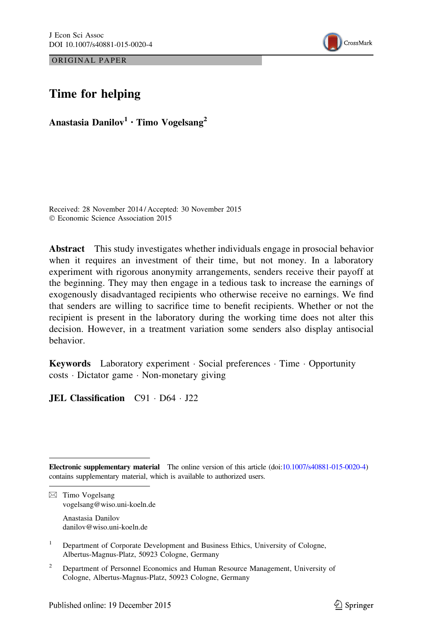ORIGINAL PAPER



# Time for helping

Anastasia Danilov<sup>1</sup> · Timo Vogelsang<sup>2</sup>

Received: 28 November 2014 / Accepted: 30 November 2015 © Economic Science Association 2015

Abstract This study investigates whether individuals engage in prosocial behavior when it requires an investment of their time, but not money. In a laboratory experiment with rigorous anonymity arrangements, senders receive their payoff at the beginning. They may then engage in a tedious task to increase the earnings of exogenously disadvantaged recipients who otherwise receive no earnings. We find that senders are willing to sacrifice time to benefit recipients. Whether or not the recipient is present in the laboratory during the working time does not alter this decision. However, in a treatment variation some senders also display antisocial behavior.

Keywords Laboratory experiment · Social preferences · Time · Opportunity costs - Dictator game - Non-monetary giving

JEL Classification C91 - D64 - J22

Electronic supplementary material The online version of this article (doi[:10.1007/s40881-015-0020-4](http://dx.doi.org/10.1007/s40881-015-0020-4)) contains supplementary material, which is available to authorized users.

 $\boxtimes$  Timo Vogelsang vogelsang@wiso.uni-koeln.de

> Anastasia Danilov danilov@wiso.uni-koeln.de

<sup>1</sup> Department of Corporate Development and Business Ethics, University of Cologne, Albertus-Magnus-Platz, 50923 Cologne, Germany

<sup>2</sup> Department of Personnel Economics and Human Resource Management, University of Cologne, Albertus-Magnus-Platz, 50923 Cologne, Germany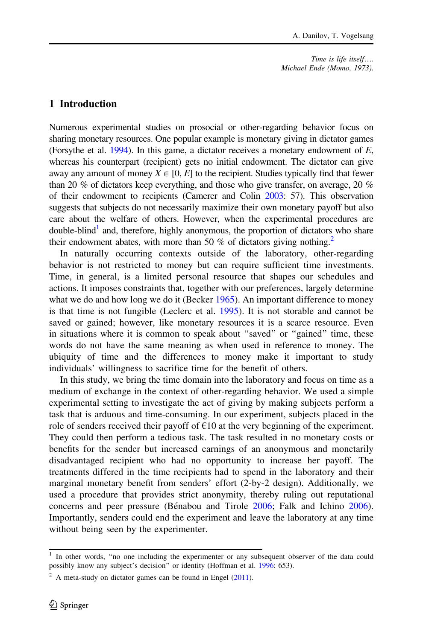# 1 Introduction

Numerous experimental studies on prosocial or other-regarding behavior focus on sharing monetary resources. One popular example is monetary giving in dictator games (Forsythe et al.  $1994$ ). In this game, a dictator receives a monetary endowment of  $E$ , whereas his counterpart (recipient) gets no initial endowment. The dictator can give away any amount of money  $X \in [0, E]$  to the recipient. Studies typically find that fewer than 20 % of dictators keep everything, and those who give transfer, on average, 20 % of their endowment to recipients (Camerer and Colin [2003:](#page-10-0) 57). This observation suggests that subjects do not necessarily maximize their own monetary payoff but also care about the welfare of others. However, when the experimental procedures are double-blind<sup>1</sup> and, therefore, highly anonymous, the proportion of dictators who share their endowment abates, with more than 50 % of dictators giving nothing.<sup>2</sup>

In naturally occurring contexts outside of the laboratory, other-regarding behavior is not restricted to money but can require sufficient time investments. Time, in general, is a limited personal resource that shapes our schedules and actions. It imposes constraints that, together with our preferences, largely determine what we do and how long we do it (Becker [1965\)](#page-10-0). An important difference to money is that time is not fungible (Leclerc et al. [1995](#page-11-0)). It is not storable and cannot be saved or gained; however, like monetary resources it is a scarce resource. Even in situations where it is common to speak about ''saved'' or ''gained'' time, these words do not have the same meaning as when used in reference to money. The ubiquity of time and the differences to money make it important to study individuals' willingness to sacrifice time for the benefit of others.

In this study, we bring the time domain into the laboratory and focus on time as a medium of exchange in the context of other-regarding behavior. We used a simple experimental setting to investigate the act of giving by making subjects perform a task that is arduous and time-consuming. In our experiment, subjects placed in the role of senders received their payoff of  $\epsilon$ 10 at the very beginning of the experiment. They could then perform a tedious task. The task resulted in no monetary costs or benefits for the sender but increased earnings of an anonymous and monetarily disadvantaged recipient who had no opportunity to increase her payoff. The treatments differed in the time recipients had to spend in the laboratory and their marginal monetary benefit from senders' effort (2-by-2 design). Additionally, we used a procedure that provides strict anonymity, thereby ruling out reputational concerns and peer pressure (Bénabou and Tirole [2006;](#page-10-0) Falk and Ichino [2006\)](#page-11-0). Importantly, senders could end the experiment and leave the laboratory at any time without being seen by the experimenter.

<sup>&</sup>lt;sup>1</sup> In other words, "no one including the experimenter or any subsequent observer of the data could possibly know any subject's decision" or identity (Hoffman et al. [1996](#page-11-0): 653).

 $2 \text{ A meta-study on dictator games can be found in Engel (2011).}$  $2 \text{ A meta-study on dictator games can be found in Engel (2011).}$  $2 \text{ A meta-study on dictator games can be found in Engel (2011).}$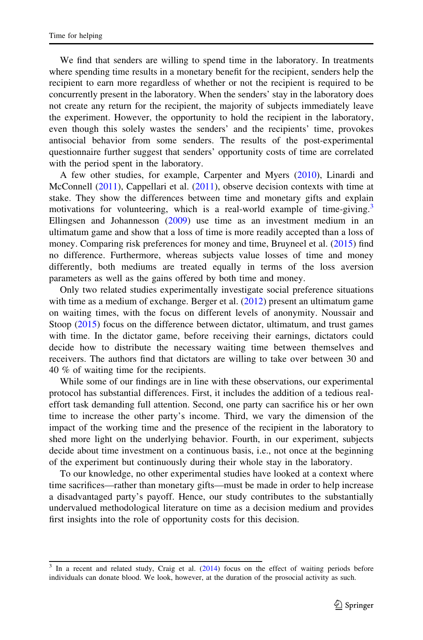We find that senders are willing to spend time in the laboratory. In treatments where spending time results in a monetary benefit for the recipient, senders help the recipient to earn more regardless of whether or not the recipient is required to be concurrently present in the laboratory. When the senders' stay in the laboratory does not create any return for the recipient, the majority of subjects immediately leave the experiment. However, the opportunity to hold the recipient in the laboratory, even though this solely wastes the senders' and the recipients' time, provokes antisocial behavior from some senders. The results of the post-experimental questionnaire further suggest that senders' opportunity costs of time are correlated with the period spent in the laboratory.

A few other studies, for example, Carpenter and Myers [\(2010](#page-11-0)), Linardi and McConnell ([2011](#page-11-0)), Cappellari et al. ([2011\)](#page-11-0), observe decision contexts with time at stake. They show the differences between time and monetary gifts and explain motivations for volunteering, which is a real-world example of time-giving.<sup>3</sup> Ellingsen and Johannesson ([2009\)](#page-11-0) use time as an investment medium in an ultimatum game and show that a loss of time is more readily accepted than a loss of money. Comparing risk preferences for money and time, Bruyneel et al. ([2015\)](#page-10-0) find no difference. Furthermore, whereas subjects value losses of time and money differently, both mediums are treated equally in terms of the loss aversion parameters as well as the gains offered by both time and money.

Only two related studies experimentally investigate social preference situations with time as a medium of exchange. Berger et al. ([2012\)](#page-10-0) present an ultimatum game on waiting times, with the focus on different levels of anonymity. Noussair and Stoop ([2015\)](#page-11-0) focus on the difference between dictator, ultimatum, and trust games with time. In the dictator game, before receiving their earnings, dictators could decide how to distribute the necessary waiting time between themselves and receivers. The authors find that dictators are willing to take over between 30 and 40 % of waiting time for the recipients.

While some of our findings are in line with these observations, our experimental protocol has substantial differences. First, it includes the addition of a tedious realeffort task demanding full attention. Second, one party can sacrifice his or her own time to increase the other party's income. Third, we vary the dimension of the impact of the working time and the presence of the recipient in the laboratory to shed more light on the underlying behavior. Fourth, in our experiment, subjects decide about time investment on a continuous basis, i.e., not once at the beginning of the experiment but continuously during their whole stay in the laboratory.

To our knowledge, no other experimental studies have looked at a context where time sacrifices—rather than monetary gifts—must be made in order to help increase a disadvantaged party's payoff. Hence, our study contributes to the substantially undervalued methodological literature on time as a decision medium and provides first insights into the role of opportunity costs for this decision.

<sup>&</sup>lt;sup>3</sup> In a recent and related study, Craig et al. [\(2014](#page-11-0)) focus on the effect of waiting periods before individuals can donate blood. We look, however, at the duration of the prosocial activity as such.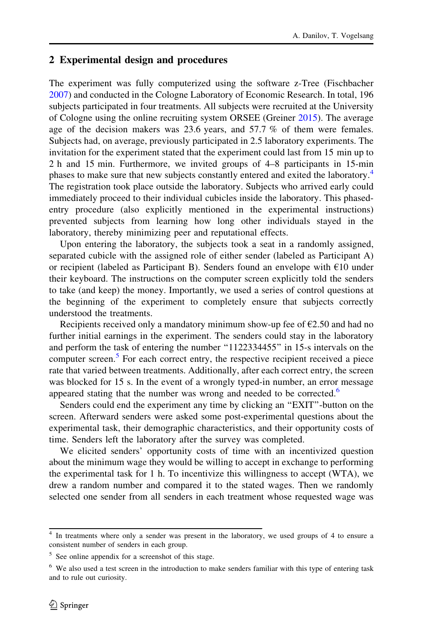# 2 Experimental design and procedures

The experiment was fully computerized using the software z-Tree (Fischbacher [2007\)](#page-11-0) and conducted in the Cologne Laboratory of Economic Research. In total, 196 subjects participated in four treatments. All subjects were recruited at the University of Cologne using the online recruiting system ORSEE (Greiner [2015](#page-11-0)). The average age of the decision makers was 23.6 years, and 57.7 % of them were females. Subjects had, on average, previously participated in 2.5 laboratory experiments. The invitation for the experiment stated that the experiment could last from 15 min up to 2 h and 15 min. Furthermore, we invited groups of 4–8 participants in 15-min phases to make sure that new subjects constantly entered and exited the laboratory.<sup>4</sup> The registration took place outside the laboratory. Subjects who arrived early could immediately proceed to their individual cubicles inside the laboratory. This phasedentry procedure (also explicitly mentioned in the experimental instructions) prevented subjects from learning how long other individuals stayed in the laboratory, thereby minimizing peer and reputational effects.

Upon entering the laboratory, the subjects took a seat in a randomly assigned, separated cubicle with the assigned role of either sender (labeled as Participant A) or recipient (labeled as Participant B). Senders found an envelope with  $\epsilon$ 10 under their keyboard. The instructions on the computer screen explicitly told the senders to take (and keep) the money. Importantly, we used a series of control questions at the beginning of the experiment to completely ensure that subjects correctly understood the treatments.

Recipients received only a mandatory minimum show-up fee of  $\epsilon$ 2.50 and had no further initial earnings in the experiment. The senders could stay in the laboratory and perform the task of entering the number ''1122334455'' in 15-s intervals on the computer screen.<sup>5</sup> For each correct entry, the respective recipient received a piece rate that varied between treatments. Additionally, after each correct entry, the screen was blocked for 15 s. In the event of a wrongly typed-in number, an error message appeared stating that the number was wrong and needed to be corrected.<sup>6</sup>

Senders could end the experiment any time by clicking an ''EXIT''-button on the screen. Afterward senders were asked some post-experimental questions about the experimental task, their demographic characteristics, and their opportunity costs of time. Senders left the laboratory after the survey was completed.

We elicited senders' opportunity costs of time with an incentivized question about the minimum wage they would be willing to accept in exchange to performing the experimental task for 1 h. To incentivize this willingness to accept (WTA), we drew a random number and compared it to the stated wages. Then we randomly selected one sender from all senders in each treatment whose requested wage was

<sup>4</sup> In treatments where only a sender was present in the laboratory, we used groups of 4 to ensure a consistent number of senders in each group.

<sup>5</sup> See online appendix for a screenshot of this stage.

<sup>6</sup> We also used a test screen in the introduction to make senders familiar with this type of entering task and to rule out curiosity.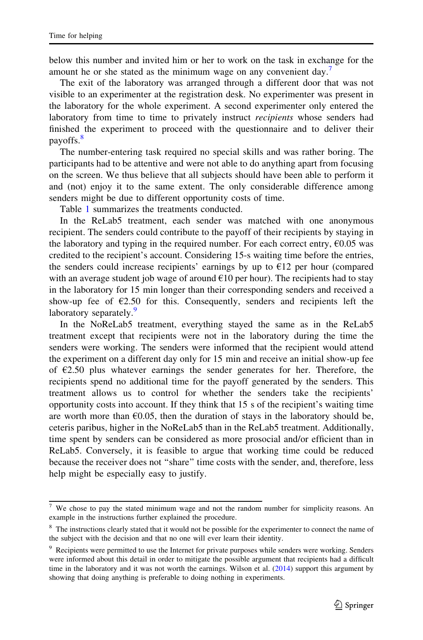below this number and invited him or her to work on the task in exchange for the amount he or she stated as the minimum wage on any convenient day.<sup>7</sup>

The exit of the laboratory was arranged through a different door that was not visible to an experimenter at the registration desk. No experimenter was present in the laboratory for the whole experiment. A second experimenter only entered the laboratory from time to time to privately instruct *recipients* whose senders had finished the experiment to proceed with the questionnaire and to deliver their payoffs.8

The number-entering task required no special skills and was rather boring. The participants had to be attentive and were not able to do anything apart from focusing on the screen. We thus believe that all subjects should have been able to perform it and (not) enjoy it to the same extent. The only considerable difference among senders might be due to different opportunity costs of time.

Table [1](#page-5-0) summarizes the treatments conducted.

In the ReLab5 treatment, each sender was matched with one anonymous recipient. The senders could contribute to the payoff of their recipients by staying in the laboratory and typing in the required number. For each correct entry,  $\epsilon$ 0.05 was credited to the recipient's account. Considering 15-s waiting time before the entries, the senders could increase recipients' earnings by up to  $E12$  per hour (compared with an average student job wage of around  $\epsilon$ 10 per hour). The recipients had to stay in the laboratory for 15 min longer than their corresponding senders and received a show-up fee of  $E2.50$  for this. Consequently, senders and recipients left the laboratory separately.<sup>9</sup>

In the NoReLab5 treatment, everything stayed the same as in the ReLab5 treatment except that recipients were not in the laboratory during the time the senders were working. The senders were informed that the recipient would attend the experiment on a different day only for 15 min and receive an initial show-up fee of  $E2.50$  plus whatever earnings the sender generates for her. Therefore, the recipients spend no additional time for the payoff generated by the senders. This treatment allows us to control for whether the senders take the recipients' opportunity costs into account. If they think that 15 s of the recipient's waiting time are worth more than  $E(0.05)$ , then the duration of stays in the laboratory should be, ceteris paribus, higher in the NoReLab5 than in the ReLab5 treatment. Additionally, time spent by senders can be considered as more prosocial and/or efficient than in ReLab5. Conversely, it is feasible to argue that working time could be reduced because the receiver does not ''share'' time costs with the sender, and, therefore, less help might be especially easy to justify.

<sup>7</sup> We chose to pay the stated minimum wage and not the random number for simplicity reasons. An example in the instructions further explained the procedure.

<sup>&</sup>lt;sup>8</sup> The instructions clearly stated that it would not be possible for the experimenter to connect the name of the subject with the decision and that no one will ever learn their identity.

<sup>&</sup>lt;sup>9</sup> Recipients were permitted to use the Internet for private purposes while senders were working. Senders were informed about this detail in order to mitigate the possible argument that recipients had a difficult time in the laboratory and it was not worth the earnings. Wilson et al. ([2014\)](#page-11-0) support this argument by showing that doing anything is preferable to doing nothing in experiments.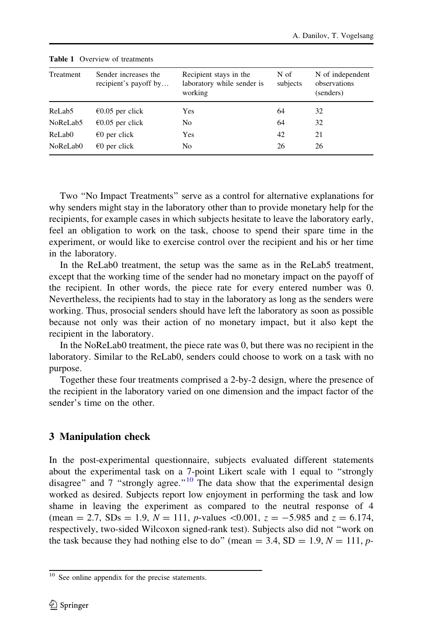|           | <b>THEIR I</b> OVERFUSH OF HURLING            |                                                                 |                  |                                               |  |
|-----------|-----------------------------------------------|-----------------------------------------------------------------|------------------|-----------------------------------------------|--|
| Treatment | Sender increases the<br>recipient's payoff by | Recipient stays in the<br>laboratory while sender is<br>working | N of<br>subjects | N of independent<br>observations<br>(senders) |  |
| ReLab5    | $\epsilon$ 0.05 per click                     | Yes                                                             | 64               | 32                                            |  |
| NoReLab5  | $\epsilon$ 0.05 per click                     | No                                                              | 64               | 32                                            |  |
| ReLab0    | $\epsilon$ 0 per click                        | Yes                                                             | 42               | 21                                            |  |
| NoReLab0  | $\epsilon$ 0 per click                        | No                                                              | 26               | 26                                            |  |

<span id="page-5-0"></span>Table 1 Overview of treatments

Two ''No Impact Treatments'' serve as a control for alternative explanations for why senders might stay in the laboratory other than to provide monetary help for the recipients, for example cases in which subjects hesitate to leave the laboratory early, feel an obligation to work on the task, choose to spend their spare time in the experiment, or would like to exercise control over the recipient and his or her time in the laboratory.

In the ReLab0 treatment, the setup was the same as in the ReLab5 treatment, except that the working time of the sender had no monetary impact on the payoff of the recipient. In other words, the piece rate for every entered number was 0. Nevertheless, the recipients had to stay in the laboratory as long as the senders were working. Thus, prosocial senders should have left the laboratory as soon as possible because not only was their action of no monetary impact, but it also kept the recipient in the laboratory.

In the NoReLab0 treatment, the piece rate was 0, but there was no recipient in the laboratory. Similar to the ReLab0, senders could choose to work on a task with no purpose.

Together these four treatments comprised a 2-by-2 design, where the presence of the recipient in the laboratory varied on one dimension and the impact factor of the sender's time on the other.

# 3 Manipulation check

In the post-experimental questionnaire, subjects evaluated different statements about the experimental task on a 7-point Likert scale with 1 equal to ''strongly disagree" and 7 "strongly agree."<sup>10</sup> The data show that the experimental design worked as desired. Subjects report low enjoyment in performing the task and low shame in leaving the experiment as compared to the neutral response of 4 (mean = 2.7, SDs = 1.9,  $N = 111$ , p-values <0.001,  $z = -5.985$  and  $z = 6.174$ , respectively, two-sided Wilcoxon signed-rank test). Subjects also did not ''work on the task because they had nothing else to do" (mean = 3.4, SD = 1.9,  $N = 111$ , p-

<sup>&</sup>lt;sup>10</sup> See online appendix for the precise statements.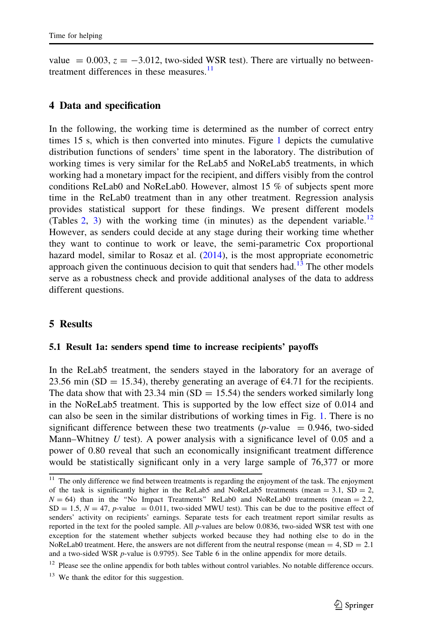value  $= 0.003$ ,  $z = -3.012$ , two-sided WSR test). There are virtually no betweentreatment differences in these measures. $\frac{11}{11}$ 

### 4 Data and specification

In the following, the working time is determined as the number of correct entry times 15 s, which is then converted into minutes. Figure [1](#page-7-0) depicts the cumulative distribution functions of senders' time spent in the laboratory. The distribution of working times is very similar for the ReLab5 and NoReLab5 treatments, in which working had a monetary impact for the recipient, and differs visibly from the control conditions ReLab0 and NoReLab0. However, almost 15 % of subjects spent more time in the ReLab0 treatment than in any other treatment. Regression analysis provides statistical support for these findings. We present different models (Tables [2](#page-7-0), [3\)](#page-9-0) with the working time (in minutes) as the dependent variable.<sup>12</sup> However, as senders could decide at any stage during their working time whether they want to continue to work or leave, the semi-parametric Cox proportional hazard model, similar to Rosaz et al. ([2014\)](#page-11-0), is the most appropriate econometric approach given the continuous decision to quit that senders had.<sup>13</sup> The other models serve as a robustness check and provide additional analyses of the data to address different questions.

## 5 Results

#### 5.1 Result 1a: senders spend time to increase recipients' payoffs

In the ReLab5 treatment, the senders stayed in the laboratory for an average of 23.56 min (SD = 15.34), thereby generating an average of  $\epsilon$ 4.71 for the recipients. The data show that with 23.34 min  $(SD = 15.54)$  the senders worked similarly long in the NoReLab5 treatment. This is supported by the low effect size of 0.014 and can also be seen in the similar distributions of working times in Fig. [1.](#page-7-0) There is no significant difference between these two treatments ( $p$ -value = 0.946, two-sided Mann–Whitney  $U$  test). A power analysis with a significance level of 0.05 and a power of 0.80 reveal that such an economically insignificant treatment difference would be statistically significant only in a very large sample of 76,377 or more

<sup>&</sup>lt;sup>11</sup> The only difference we find between treatments is regarding the enjoyment of the task. The enjoyment of the task is significantly higher in the ReLab5 and NoReLab5 treatments (mean  $= 3.1$ , SD  $= 2$ ,  $N = 64$ ) than in the "No Impact Treatments" ReLab0 and NoReLab0 treatments (mean = 2.2,  $SD = 1.5$ ,  $N = 47$ , *p*-value = 0.011, two-sided MWU test). This can be due to the positive effect of senders' activity on recipients' earnings. Separate tests for each treatment report similar results as reported in the text for the pooled sample. All p-values are below 0.0836, two-sided WSR test with one exception for the statement whether subjects worked because they had nothing else to do in the NoReLab0 treatment. Here, the answers are not different from the neutral response (mean  $= 4$ , SD  $= 2.1$ ) and a two-sided WSR p-value is 0.9795). See Table 6 in the online appendix for more details.

 $12$  Please see the online appendix for both tables without control variables. No notable difference occurs.

 $13$  We thank the editor for this suggestion.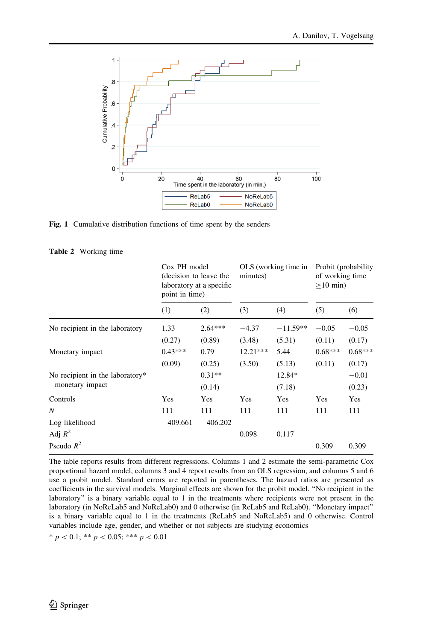<span id="page-7-0"></span>

Fig. 1 Cumulative distribution functions of time spent by the senders

|  |  | <b>Table 2</b> Working time |  |
|--|--|-----------------------------|--|
|--|--|-----------------------------|--|

|                                 | Cox PH model<br>(decision to leave the<br>laboratory at a specific<br>point in time) | OLS (working time in<br>minutes) |            |            | Probit (probability)<br>of working time<br>$>10$ min) |           |
|---------------------------------|--------------------------------------------------------------------------------------|----------------------------------|------------|------------|-------------------------------------------------------|-----------|
|                                 | (1)                                                                                  | (2)                              | (3)        | (4)        | (5)                                                   | (6)       |
| No recipient in the laboratory  | 1.33                                                                                 | $2.64***$                        | $-4.37$    | $-11.59**$ | $-0.05$                                               | $-0.05$   |
|                                 | (0.27)                                                                               | (0.89)                           | (3.48)     | (5.31)     | (0.11)                                                | (0.17)    |
| Monetary impact                 | $0.43***$                                                                            | 0.79                             | $12.21***$ | 5.44       | $0.68***$                                             | $0.68***$ |
|                                 | (0.09)                                                                               | (0.25)                           | (3.50)     | (5.13)     | (0.11)                                                | (0.17)    |
| No recipient in the laboratory* |                                                                                      | $0.31**$                         |            | 12.84*     |                                                       | $-0.01$   |
| monetary impact                 |                                                                                      | (0.14)                           |            | (7.18)     |                                                       | (0.23)    |
| Controls                        | Yes                                                                                  | Yes                              | Yes        | Yes        | Yes                                                   | Yes       |
| N                               | 111                                                                                  | 111                              | 111        | 111        | 111                                                   | 111       |
| Log likelihood                  | $-409.661$                                                                           | $-406.202$                       |            |            |                                                       |           |
| Adj $R^2$                       |                                                                                      |                                  | 0.098      | 0.117      |                                                       |           |
| Pseudo $R^2$                    |                                                                                      |                                  |            |            | 0.309                                                 | 0.309     |

The table reports results from different regressions. Columns 1 and 2 estimate the semi-parametric Cox proportional hazard model, columns 3 and 4 report results from an OLS regression, and columns 5 and 6 use a probit model. Standard errors are reported in parentheses. The hazard ratios are presented as coefficients in the survival models. Marginal effects are shown for the probit model. ''No recipient in the laboratory'' is a binary variable equal to 1 in the treatments where recipients were not present in the laboratory (in NoReLab5 and NoReLab0) and 0 otherwise (in ReLab5 and ReLab0). ''Monetary impact'' is a binary variable equal to 1 in the treatments (ReLab5 and NoReLab5) and 0 otherwise. Control variables include age, gender, and whether or not subjects are studying economics

 $* p < 0.1; ** p < 0.05; ** p < 0.01$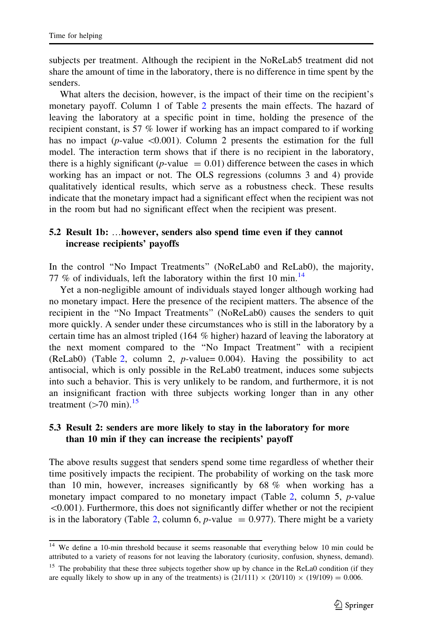subjects per treatment. Although the recipient in the NoReLab5 treatment did not share the amount of time in the laboratory, there is no difference in time spent by the senders.

What alters the decision, however, is the impact of their time on the recipient's monetary payoff. Column 1 of Table [2](#page-7-0) presents the main effects. The hazard of leaving the laboratory at a specific point in time, holding the presence of the recipient constant, is 57 % lower if working has an impact compared to if working has no impact ( $p$ -value  $\leq 0.001$ ). Column 2 presents the estimation for the full model. The interaction term shows that if there is no recipient in the laboratory, there is a highly significant ( $p$ -value = 0.01) difference between the cases in which working has an impact or not. The OLS regressions (columns 3 and 4) provide qualitatively identical results, which serve as a robustness check. These results indicate that the monetary impact had a significant effect when the recipient was not in the room but had no significant effect when the recipient was present.

# 5.2 Result 1b: …however, senders also spend time even if they cannot increase recipients' payoffs

In the control ''No Impact Treatments'' (NoReLab0 and ReLab0), the majority, 77 % of individuals, left the laboratory within the first 10 min.<sup>14</sup>

Yet a non-negligible amount of individuals stayed longer although working had no monetary impact. Here the presence of the recipient matters. The absence of the recipient in the ''No Impact Treatments'' (NoReLab0) causes the senders to quit more quickly. A sender under these circumstances who is still in the laboratory by a certain time has an almost tripled (164 % higher) hazard of leaving the laboratory at the next moment compared to the ''No Impact Treatment'' with a recipient (ReLab0) (Table [2,](#page-7-0) column 2,  $p$ -value= 0.004). Having the possibility to act antisocial, which is only possible in the ReLab0 treatment, induces some subjects into such a behavior. This is very unlikely to be random, and furthermore, it is not an insignificant fraction with three subjects working longer than in any other treatment  $(>70 \text{ min}).$ <sup>15</sup>

# 5.3 Result 2: senders are more likely to stay in the laboratory for more than 10 min if they can increase the recipients' payoff

The above results suggest that senders spend some time regardless of whether their time positively impacts the recipient. The probability of working on the task more than 10 min, however, increases significantly by 68 % when working has a monetary impact compared to no monetary impact (Table [2,](#page-7-0) column 5, p-value  $\leq 0.001$ ). Furthermore, this does not significantly differ whether or not the recipient is in the laboratory (Table [2,](#page-7-0) column 6,  $p$ -value = 0.977). There might be a variety

<sup>&</sup>lt;sup>14</sup> We define a 10-min threshold because it seems reasonable that everything below 10 min could be attributed to a variety of reasons for not leaving the laboratory (curiosity, confusion, shyness, demand).

<sup>&</sup>lt;sup>15</sup> The probability that these three subjects together show up by chance in the ReLa0 condition (if they are equally likely to show up in any of the treatments) is  $(21/111) \times (20/110) \times (19/109) = 0.006$ .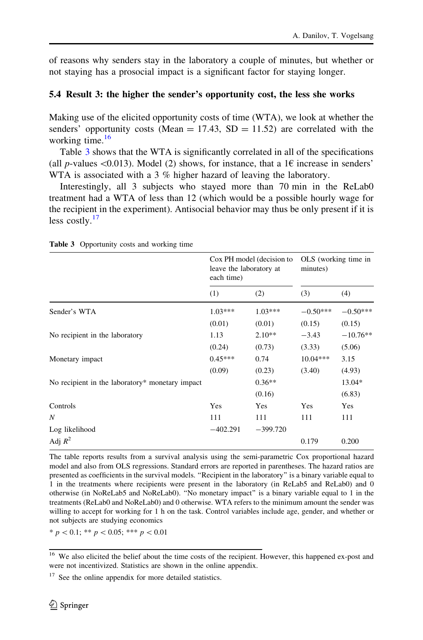<span id="page-9-0"></span>of reasons why senders stay in the laboratory a couple of minutes, but whether or not staying has a prosocial impact is a significant factor for staying longer.

### 5.4 Result 3: the higher the sender's opportunity cost, the less she works

Making use of the elicited opportunity costs of time (WTA), we look at whether the senders' opportunity costs (Mean  $= 17.43$ , SD  $= 11.52$ ) are correlated with the working time. $16$ 

Table 3 shows that the WTA is significantly correlated in all of the specifications (all p-values <0.013). Model (2) shows, for instance, that a 1 $\epsilon$  increase in senders' WTA is associated with a 3 % higher hazard of leaving the laboratory.

Interestingly, all 3 subjects who stayed more than 70 min in the ReLab0 treatment had a WTA of less than 12 (which would be a possible hourly wage for the recipient in the experiment). Antisocial behavior may thus be only present if it is less costly. $17$ 

|                                                 | leave the laboratory at<br>each time) | Cox PH model (decision to | OLS (working time in<br>minutes) |            |
|-------------------------------------------------|---------------------------------------|---------------------------|----------------------------------|------------|
|                                                 | (1)                                   | (2)                       | (3)                              | (4)        |
| Sender's WTA                                    | $1.03***$                             | $1.03***$                 | $-0.50***$                       | $-0.50***$ |
|                                                 | (0.01)                                | (0.01)                    | (0.15)                           | (0.15)     |
| No recipient in the laboratory                  | 1.13                                  | $2.10**$                  | $-3.43$                          | $-10.76**$ |
|                                                 | (0.24)                                | (0.73)                    | (3.33)                           | (5.06)     |
| Monetary impact                                 | $0.45***$                             | 0.74                      | $10.04***$                       | 3.15       |
|                                                 | (0.09)                                | (0.23)                    | (3.40)                           | (4.93)     |
| No recipient in the laboratory* monetary impact |                                       | $0.36**$                  |                                  | 13.04*     |
|                                                 |                                       | (0.16)                    |                                  | (6.83)     |
| Controls                                        | Yes                                   | Yes                       | Yes                              | Yes        |
| N                                               | 111                                   | 111                       | 111                              | 111        |
| Log likelihood                                  | $-402.291$                            | $-399.720$                |                                  |            |
| Adj $R^2$                                       |                                       |                           | 0.179                            | 0.200      |

Table 3 Opportunity costs and working time

The table reports results from a survival analysis using the semi-parametric Cox proportional hazard model and also from OLS regressions. Standard errors are reported in parentheses. The hazard ratios are presented as coefficients in the survival models. ''Recipient in the laboratory'' is a binary variable equal to 1 in the treatments where recipients were present in the laboratory (in ReLab5 and ReLab0) and 0 otherwise (in NoReLab5 and NoReLab0). ''No monetary impact'' is a binary variable equal to 1 in the treatments (ReLab0 and NoReLab0) and 0 otherwise. WTA refers to the minimum amount the sender was willing to accept for working for 1 h on the task. Control variables include age, gender, and whether or not subjects are studying economics

 $* p < 0.1; ** p < 0.05; *** p < 0.01$ 

<sup>&</sup>lt;sup>16</sup> We also elicited the belief about the time costs of the recipient. However, this happened ex-post and were not incentivized. Statistics are shown in the online appendix.

 $17$  See the online appendix for more detailed statistics.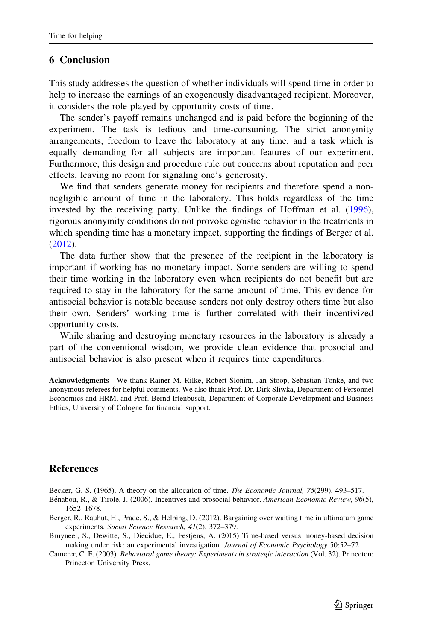### <span id="page-10-0"></span>6 Conclusion

This study addresses the question of whether individuals will spend time in order to help to increase the earnings of an exogenously disadvantaged recipient. Moreover, it considers the role played by opportunity costs of time.

The sender's payoff remains unchanged and is paid before the beginning of the experiment. The task is tedious and time-consuming. The strict anonymity arrangements, freedom to leave the laboratory at any time, and a task which is equally demanding for all subjects are important features of our experiment. Furthermore, this design and procedure rule out concerns about reputation and peer effects, leaving no room for signaling one's generosity.

We find that senders generate money for recipients and therefore spend a nonnegligible amount of time in the laboratory. This holds regardless of the time invested by the receiving party. Unlike the findings of Hoffman et al. ([1996\)](#page-11-0), rigorous anonymity conditions do not provoke egoistic behavior in the treatments in which spending time has a monetary impact, supporting the findings of Berger et al. (2012).

The data further show that the presence of the recipient in the laboratory is important if working has no monetary impact. Some senders are willing to spend their time working in the laboratory even when recipients do not benefit but are required to stay in the laboratory for the same amount of time. This evidence for antisocial behavior is notable because senders not only destroy others time but also their own. Senders' working time is further correlated with their incentivized opportunity costs.

While sharing and destroying monetary resources in the laboratory is already a part of the conventional wisdom, we provide clean evidence that prosocial and antisocial behavior is also present when it requires time expenditures.

Acknowledgments We thank Rainer M. Rilke, Robert Slonim, Jan Stoop, Sebastian Tonke, and two anonymous referees for helpful comments. We also thank Prof. Dr. Dirk Sliwka, Department of Personnel Economics and HRM, and Prof. Bernd Irlenbusch, Department of Corporate Development and Business Ethics, University of Cologne for financial support.

## References

Becker, G. S. (1965). A theory on the allocation of time. The Economic Journal, 75(299), 493–517.

- Bénabou, R., & Tirole, J. (2006). Incentives and prosocial behavior. American Economic Review, 96(5), 1652–1678.
- Berger, R., Rauhut, H., Prade, S., & Helbing, D. (2012). Bargaining over waiting time in ultimatum game experiments. Social Science Research, 41(2), 372–379.
- Bruyneel, S., Dewitte, S., Diecidue, E., Festjens, A. (2015) Time-based versus money-based decision making under risk: an experimental investigation. Journal of Economic Psychology 50:52–72

Camerer, C. F. (2003). Behavioral game theory: Experiments in strategic interaction (Vol. 32). Princeton: Princeton University Press.